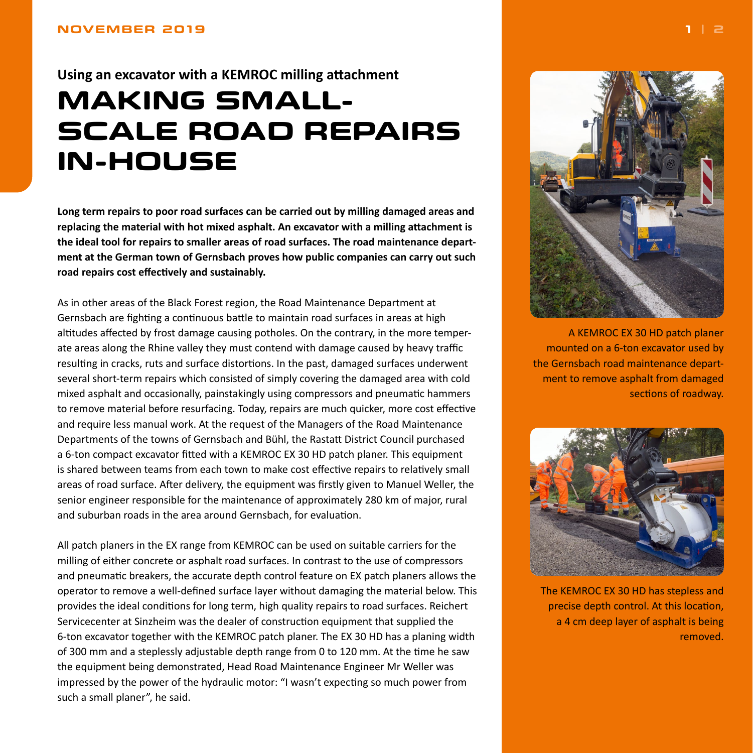<span id="page-0-0"></span>**Using an excavator with a KEMROC milling attachment**

## **MAKING SMALL-SCALE ROAD REPAIRS IN-HOUSE**

**Long term repairs to poor road surfaces can be carried out by milling damaged areas and replacing the material with hot mixed asphalt. An excavator with a milling attachment is the ideal tool for repairs to smaller areas of road surfaces. The road maintenance department at the German town of Gernsbach proves how public companies can carry out such road repairs cost effectively and sustainably.**

As in other areas of the Black Forest region, the Road Maintenance Department at Gernsbach are fighting a continuous battle to maintain road surfaces in areas at high altitudes affected by frost damage causing potholes. On the contrary, in the more temperate areas along the Rhine valley they must contend with damage caused by heavy traffic resulting in cracks, ruts and surface distortions. In the past, damaged surfaces underwent several short-term repairs which consisted of simply covering the damaged area with cold mixed asphalt and occasionally, painstakingly using compressors and pneumatic hammers to remove material before resurfacing. Today, repairs are much quicker, more cost effective and require less manual work. At the request of the Managers of the Road Maintenance Departments of the towns of Gernsbach and Bühl, the Rastatt District Council purchased a 6-ton compact excavator fitted with a KEMROC EX 30 HD patch planer. This equipment is shared between teams from each town to make cost effective repairs to relatively small areas of road surface. After delivery, the equipment was firstly given to Manuel Weller, the senior engineer responsible for the maintenance of approximately 280 km of major, rural and suburban roads in the area around Gernsbach, for evaluation.

All patch planers in the EX range from KEMROC can be used on suitable carriers for the milling of either concrete or asphalt road surfaces. In contrast to the use of compressors and pneumatic breakers, the accurate depth control feature on EX patch planers allows the operator to remove a well-defined surface layer without damaging the material below. This provides the ideal conditions for long term, high quality repairs to road surfaces. Reichert Servicecenter at Sinzheim was the dealer of construction equipment that supplied the 6-ton excavator together with the KEMROC patch planer. The EX 30 HD has a planing width of 300 mm and a steplessly adjustable depth range from 0 to 120 mm. At the time he saw the equipment being demonstrated, Head Road Maintenance Engineer Mr Weller was impressed by the power of the hydraulic motor: "I wasn't expecting so much power from such a small planer", he said.



A KEMROC EX 30 HD patch planer mounted on a 6-ton excavator used by the Gernsbach road maintenance department to remove asphalt from damaged sections of roadway.



The KEMROC EX 30 HD has stepless and precise depth control. At this location, a 4 cm deep layer of asphalt is being removed.